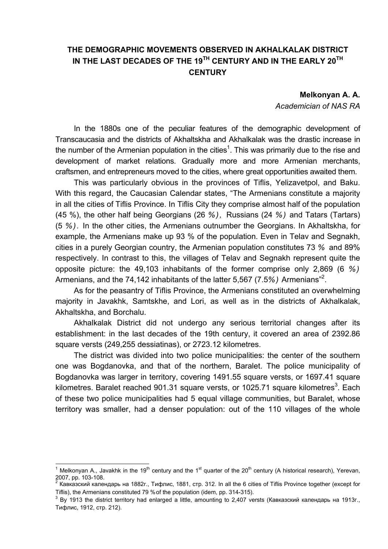## **THE DEMOGRAPHIC MOVEMENTS OBSERVED IN AKHALKALAK DISTRICT IN THE LAST DECADES OF THE 19TH CENTURY AND IN THE EARLY 20TH CENTURY**

## **Melkonyan A. A.**

*Academician of NAS RA* 

In the 1880s one of the peculiar features of the demographic development of Transcaucasia and the districts of Akhaltskha and Akhalkalak was the drastic increase in the number of the Armenian population in the cities<sup>1</sup>. This was primarily due to the rise and development of market relations. Gradually more and more Armenian merchants, craftsmen, and entrepreneurs moved to the cities, where great opportunities awaited them.

This was particularly obvious in the provinces of Tiflis, Yelizavetpol, and Baku. With this regard, the Caucasian Calendar states, "The Armenians constitute a majority in all the cities of Tiflis Province. In Tiflis City they comprise almost half of the population (45 %), the other half being Georgians (26 *%),* Russians (24 *%)* and Tatars (Tartars) (5 *%).* In the other cities, the Armenians outnumber the Georgians. In Akhaltskha, for example, the Armenians make up 93 % of the population. Even in Telav and Segnakh, cities in a purely Georgian country, the Armenian population constitutes 73 *%* and 89% respectively. In contrast to this, the villages of Telav and Segnakh represent quite the opposite picture: the 49,103 inhabitants of the former comprise only 2,869 (6 *%)* Armenians, and the 74,142 inhabitants of the latter 5,567 (7.5*%)* Armenians"<sup>2</sup> .

As for the peasantry of Tiflis Province, the Armenians constituted an overwhelming majority in Javakhk, Samtskhe, and Lori, as well as in the districts of Akhalkalak, Akhaltskha, and Borchalu.

Akhalkalak District did not undergo any serious territorial changes after its establishment: in the last decades of the 19th century, it covered an area of 2392.86 square versts (249,255 dessiatinas), or 2723.12 kilometres.

The district was divided into two police municipalities: the center of the southern one was Bogdanovka, and that of the northern, Baralet. The police municipality of Bogdanovka was larger in territory, covering 1491.55 square versts, or 1697.41 square kilometres. Baralet reached 901.31 square versts, or 1025.71 square kilometres<sup>3</sup>. Each of these two police municipalities had 5 equal village communities, but Baralet, whose territory was smaller, had a denser population: out of the 110 villages of the whole

 1 Melkonyan A., Javakhk in the 19<sup>th</sup> century and the 1<sup>st</sup> quarter of the 20<sup>th</sup> century (A historical research), Yerevan, 2007, pp. 103-108.

<sup>&</sup>lt;sup>2</sup> Кавказский календарь на 1882г., Тифлис, 1881, стр. 312. In all the 6 cities of Tiflis Province together (except for Tiflis), the Armenians constituted 79 % of the population (idem, pp. 314-315).

 $3$  By 1913 the district territory had enlarged a little, amounting to 2,407 versts (Кавказский календарь на 1913г., Тифлис, 1912, стр. 212).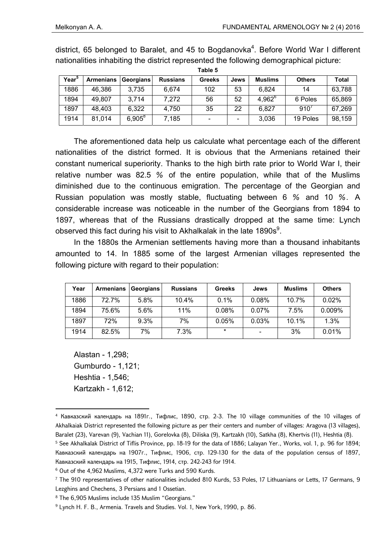| rapie o           |                  |             |                 |               |      |                |               |              |  |
|-------------------|------------------|-------------|-----------------|---------------|------|----------------|---------------|--------------|--|
| Year <sup>3</sup> | <b>Armenians</b> | Georgians   | <b>Russians</b> | <b>Greeks</b> | Jews | <b>Muslims</b> | <b>Others</b> | <b>Total</b> |  |
| 1886              | 46,386           | 3,735       | 6,674           | 102           | 53   | 6.824          | 14            | 63,788       |  |
| 1894              | 49,807           | 3.714       | 7,272           | 56            | 52   | $4,962^6$      | 6 Poles       | 65,869       |  |
| 1897              | 48,403           | 6,322       | 4,750           | 35            | 22   | 6,827          | $910^{6}$     | 67,269       |  |
| 1914              | 81,014           | $6.905^{8}$ | 7.185           |               |      | 3,036          | 19 Poles      | 98,159       |  |

district, 65 belonged to Baralet, and 45 to Bogdanovka<sup>4</sup>. Before World War I different nationalities inhabiting the district represented the following demographical picture:

**Table 5**

The aforementioned data help us calculate what percentage each of the different nationalities of the district formed. It is obvious that the Armenians retained their constant numerical superiority. Thanks to the high birth rate prior to World War I, their relative number was 82.5 *%* of the entire population, while that of the Muslims diminished due to the continuous emigration. The percentage of the Georgian and Russian population was mostly stable, fluctuating between 6 *%* and 10 *%.* A considerable increase was noticeable in the number of the Georgians from 1894 to 1897, whereas that of the Russians drastically dropped at the same time: Lynch observed this fact during his visit to Akhalkalak in the late 1890s<sup>9</sup>.

In the 1880s the Armenian settlements having more than a thousand inhabitants amounted to 14. In 1885 some of the largest Armenian villages represented the following picture with regard to their population:

| Year | <b>Armenians</b> | Georgians | <b>Russians</b> | <b>Greeks</b> | Jews  | <b>Muslims</b> | <b>Others</b> |
|------|------------------|-----------|-----------------|---------------|-------|----------------|---------------|
| 1886 | 72.7%            | 5.8%      | 10.4%           | 0.1%          | 0.08% | 10.7%          | 0.02%         |
| 1894 | 75.6%            | 5.6%      | 11%             | 0.08%         | 0.07% | 7.5%           | 0.009%        |
| 1897 | 72%              | 9.3%      | 7%              | 0.05%         | 0.03% | 10.1%          | 1.3%          |
| 1914 | 82.5%            | 7%        | 7.3%            | $\star$       |       | 3%             | 0.01%         |

Alastan - 1,298; Gumburdo - 1,121; Heshtia - 1,546; Kartzakh - 1,612;

1

<sup>4</sup> Кавказский календарь на 1891г., Тифлис, 1890, стр. 2-3. The 10 village communities of the 10 villages of Akhalkaiak District represented the following picture as per their centers and number of villages: Aragova (13 villages), Baralet (23), Varevan (9), Vachian 11), Gorelovka (8), Diliska (9), Kartzakh (10), Satkha (8), Khertvis (11), Heshtia (8). 5 See Akhalkalak District of Tiflis Province, pp. 18-19 for the data of 1886; Lalayan Yer., Works, vol. 1, p. 96 for 1894; Кавказский календарь на 1907г., Тифлис, 1906, стр. 129-130 for the data of the population census of 1897,

Кавказский календарь на 1915, Тифлис, 1914, стр. 242-243 for 1914.

<sup>6</sup> Out of the 4,962 Muslims, 4,372 were Turks and 590 Kurds.

<sup>7</sup> The 910 representatives of other nationalities included 810 Kurds, 53 Poles, 17 Lithuanians or Letts, 17 Germans, 9 Lezghins and Chechens, 3 Persians and 1 Ossetian.

<sup>8</sup> The 6,905 Muslims include 135 Muslim "Georgians."

<sup>9</sup> Lynch H. F. B., Armenia. Travels and Studies. Vol. 1, New York, 1990, p. 86.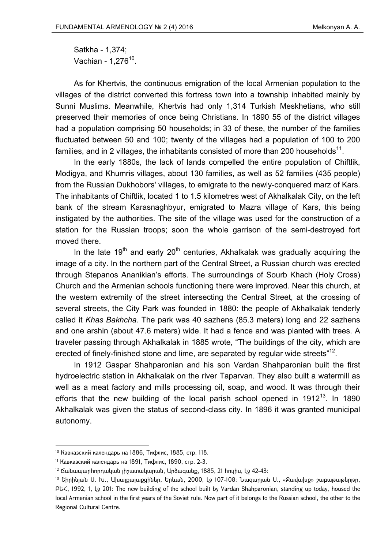Satkha - 1,374; Vachian -  $1,276^{10}$ .

As for Khertvis, the continuous emigration of the local Armenian population to the villages of the district converted this fortress town into a township inhabited mainly by Sunni Muslims. Meanwhile, Khertvis had only 1,314 Turkish Meskhetians, who still preserved their memories of once being Christians. In 1890 55 of the district villages had a population comprising 50 households; in 33 of these, the number of the families fluctuated between 50 and 100; twenty of the villages had a population of 100 to 200 families, and in 2 villages, the inhabitants consisted of more than 200 households $11$ .

In the early 1880s, the lack of lands compelled the entire population of Chiftlik, Modigya, and Khumris villages, about 130 families, as well as 52 families (435 people) from the Russian Dukhobors' villages, to emigrate to the newly-conquered marz of Kars. The inhabitants of Chiftlik, located 1 to 1.5 kilometres west of Akhalkalak City, on the left bank of the stream Karasnaghbyur, emigrated to Mazra village of Kars, this being instigated by the authorities. The site of the village was used for the construction of a station for the Russian troops; soon the whole garrison of the semi-destroyed fort moved there.

In the late 19<sup>th</sup> and early 20<sup>th</sup> centuries, Akhalkalak was gradually acquiring the image of a city. In the northern part of the Central Street, a Russian church was erected through Stepanos Ananikian's efforts. The surroundings of Sourb Khach (Holy Cross) Church and the Armenian schools functioning there were improved. Near this church, at the western extremity of the street intersecting the Central Street, at the crossing of several streets, the City Park was founded in 1880: the people of Akhalkalak tenderly called it *Khas Bakhcha.* The park was 40 sazhens (85.3 meters) long and 22 sazhens and one arshin (about 47.6 meters) wide. It had a fence and was planted with trees. A traveler passing through Akhalkalak in 1885 wrote, "The buildings of the city, which are erected of finely-finished stone and lime, are separated by regular wide streets<sup> $n12$ </sup>.

In 1912 Gaspar Shahparonian and his son Vardan Shahparonian built the first hydroelectric station in Akhalkalak on the river Taparvan. They also built a watermill as well as a meat factory and mills processing oil, soap, and wood. It was through their efforts that the new building of the local parish school opened in  $1912^{13}$ . In 1890 Akhalkalak was given the status of second-class city. In 1896 it was granted municipal autonomy.

**.** 

<sup>10</sup> Кавказский календарь на 1886, Тифлис, 1885, стр. 118.

<sup>11</sup> Кавказский календарь на 1891, Тифлис, 1890, стр. 2-3.

 $12$  Δωնապարիորդական լիշատակարան, Արձագանք, 1885, 21 հուլիս, էջ 42-43:

<sup>&</sup>lt;sup>13</sup> Շիրինյան U. Խ., Ախալքայաքցիներ, Երևան, 2000, էջ 107-108։ Նազարյան U., «Ջավախք» շաբաթաթերթը, ԲԵՀ, 1992, 1, էջ 201: The new building of the school built by Vardan Shahparonian, standing up today, housed the local Armenian school in the first years of the Soviet rule. Now part of it belongs to the Russian school, the other to the Regional Cultural Centre.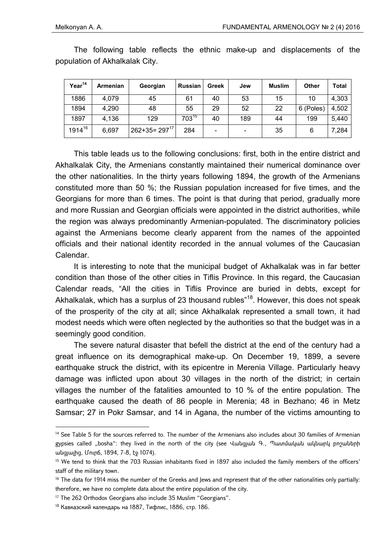| Year <sup>14</sup> | Armenian | Georgian          | <b>Russian</b> | <b>Greek</b>                 | Jew | <b>Muslim</b> | <b>Other</b> | Total |
|--------------------|----------|-------------------|----------------|------------------------------|-----|---------------|--------------|-------|
| 1886               | 4,079    | 45                | 61             | 40                           | 53  | 15            | 10           | 4,303 |
| 1894               | 4,290    | 48                | 55             | 29                           | 52  | 22            | 6 (Poles)    | 4,502 |
| 1897               | 4,136    | 129               | $703^{15}$     | 40                           | 189 | 44            | 199          | 5,440 |
| 191416             | 6,697    | $262+35=297^{17}$ | 284            | $\qquad \qquad \blacksquare$ |     | 35            | 6            | 7,284 |

The following table reflects the ethnic make-up and displacements of the population of Akhalkalak City.

This table leads us to the following conclusions: first, both in the entire district and Akhalkalak City, the Armenians constantly maintained their numerical dominance over the other nationalities. In the thirty years following 1894, the growth of the Armenians constituted more than 50 %; the Russian population increased for five times, and the Georgians for more than 6 times. The point is that during that period, gradually more and more Russian and Georgian officials were appointed in the district authorities, while the region was always predominantly Armenian-populated. The discriminatory policies against the Armenians become clearly apparent from the names of the appointed officials and their national identity recorded in the annual volumes of the Caucasian Calendar.

It is interesting to note that the municipal budget of Akhalkalak was in far better condition than those of the other cities in Tiflis Province. In this regard, the Caucasian Calendar reads, "All the cities in Tiflis Province are buried in debts, except for Akhalkalak, which has a surplus of 23 thousand rubles<sup>"18</sup>. However, this does not speak of the prosperity of the city at all; since Akhalkalak represented a small town, it had modest needs which were often neglected by the authorities so that the budget was in a seemingly good condition.

The severe natural disaster that befell the district at the end of the century had a great influence on its demographical make-up. On December 19, 1899, a severe earthquake struck the district, with its epicentre in Merenia Village. Particularly heavy damage was inflicted upon about 30 villages in the north of the district; in certain villages the number of the fatalities amounted to 10 % of the entire population. The earthquake caused the death of 86 people in Merenia; 48 in Bezhano; 46 in Metz Samsar; 27 in Pokr Samsar, and 14 in Agana, the number of the victims amounting to

**.** 

<sup>&</sup>lt;sup>14</sup> See Table 5 for the sources referred to. The number of the Armenians also includes about 30 families of Armenian gypsies called "bosha": they lived in the north of the city (see Վանցյան Գ., Պատմական ակնարկ բոշաների անցյալից, Մուրճ, 1894, 7-8, էջ 1074).

<sup>&</sup>lt;sup>15</sup> We tend to think that the 703 Russian inhabitants fixed in 1897 also included the family members of the officers' staff of the military town.

 $16$  The data for 1914 miss the number of the Greeks and Jews and represent that of the other nationalities only partially: therefore, we have no complete data about the entire population of the city.

<sup>&</sup>lt;sup>17</sup> The 262 Orthodox Georgians also include 35 Muslim "Georgians".

<sup>18</sup> Кавказский календарь на 1887, Тифлис, 1886, стр. 186.